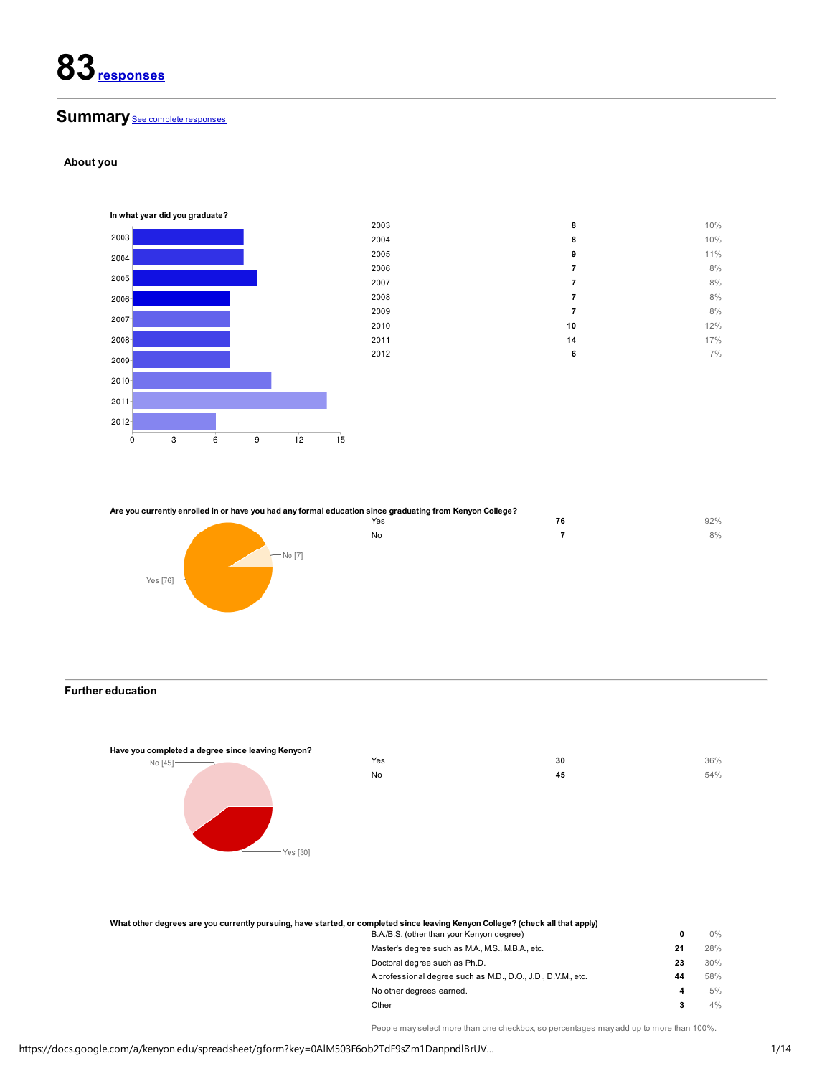# Summary See complete responses

## About you



| 2003 | 8                       | 10%   |
|------|-------------------------|-------|
| 2004 | 8                       | 10%   |
| 2005 | 9                       | 11%   |
| 2006 | $\overline{\mathbf{r}}$ | $8\%$ |
| 2007 | 7                       | $8\%$ |
| 2008 | $\overline{\mathbf{r}}$ | $8\%$ |
| 2009 | 7                       | $8\%$ |
| 2010 | $10\,$                  | 12%   |
| 2011 | 14                      | 17%   |
| 2012 | 6                       | $7\%$ |
|      |                         |       |
|      |                         |       |
|      |                         |       |
|      |                         |       |
|      |                         |       |



## Further education



| Yes | 30 | 36% |
|-----|----|-----|
| No  | 45 | 54% |
|     |    |     |
|     |    |     |
|     |    |     |

| What other degrees are you currently pursuing, have started, or completed since leaving Kenyon College? (check all that apply) |    |       |
|--------------------------------------------------------------------------------------------------------------------------------|----|-------|
| B.A./B.S. (other than your Kenyon degree)                                                                                      |    | $0\%$ |
| Master's degree such as M.A., M.S., M.B.A., etc.                                                                               | 21 | 28%   |
| Doctoral degree such as Ph.D.                                                                                                  | 23 | 30%   |
| A professional degree such as M.D., D.O., J.D., D.V.M., etc.                                                                   | 44 | 58%   |
| No other degrees earned.                                                                                                       |    | 5%    |
| Other                                                                                                                          |    | 4%    |

People may select more than one checkbox, so percentages may add up to more than 100%.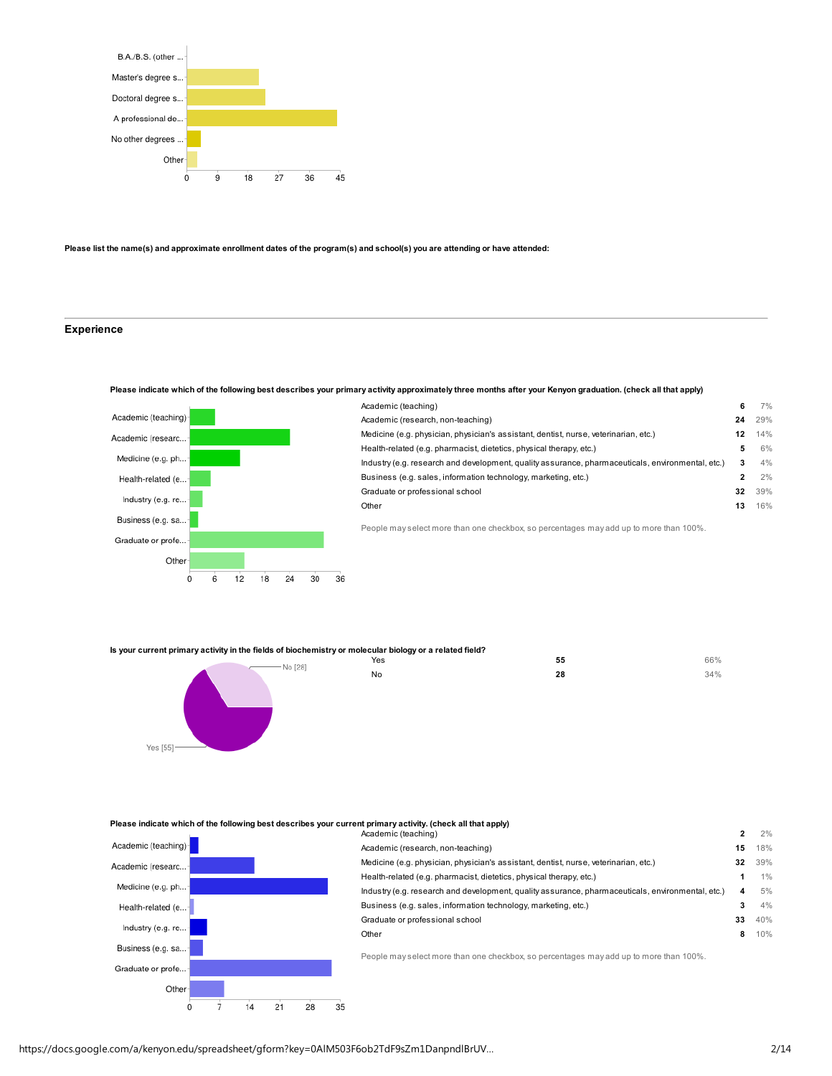

#### Please list the name(s) and approximate enrollment dates of the program(s) and school(s) you are attending or have attended:

## Experience

## Please indicate which of the following best describes your primary activity approximately three months after your Kenyon graduation. (check all that apply)



| Academic (teaching)                                                                               | 6  | 7%  |  |
|---------------------------------------------------------------------------------------------------|----|-----|--|
| Academic (research, non-teaching)                                                                 | 24 | 29% |  |
| Medicine (e.g. physician, physician's assistant, dentist, nurse, veterinarian, etc.)              | 12 | 14% |  |
| Health-related (e.g. pharmacist, dietetics, physical therapy, etc.)                               | 5  | 6%  |  |
| Industry (e.g. research and development, quality assurance, pharmaceuticals, environmental, etc.) | 3  | 4%  |  |
| Business (e.g. sales, information technology, marketing, etc.)                                    | 2  | 2%  |  |
| Graduate or professional school                                                                   | 32 | 39% |  |
| Other                                                                                             | 13 | 16% |  |
|                                                                                                   |    |     |  |

People may select more than one checkbox, so percentages may add up to more than 100%.

Is your current primary activity in the fields of biochemistry or molecular biology or a related<br>Yes



| ular biology or a related field? |    |     |
|----------------------------------|----|-----|
| Yes                              | 55 | 66% |
| No                               | 28 | 34% |
|                                  |    |     |
|                                  |    |     |

## Please indicate which of the following best describes your current primary activity. (check all that apply)



| Academic (teaching)                                                                               | $\overline{\mathbf{c}}$ | 2%    |
|---------------------------------------------------------------------------------------------------|-------------------------|-------|
| Academic (research, non-teaching)                                                                 | 15                      | 18%   |
| Medicine (e.g. physician, physician's assistant, dentist, nurse, veterinarian, etc.)              | 32                      | 39%   |
| Health-related (e.g. pharmacist, dietetics, physical therapy, etc.)                               |                         | $1\%$ |
| Industry (e.g. research and development, quality assurance, pharmaceuticals, environmental, etc.) | 4                       | 5%    |
| Business (e.g. sales, information technology, marketing, etc.)                                    | 3                       | 4%    |
| Graduate or professional school                                                                   | 33                      | 40%   |
| Other                                                                                             | 8                       | 10%   |

People may select more than one checkbox, so percentages may add up to more than 100%.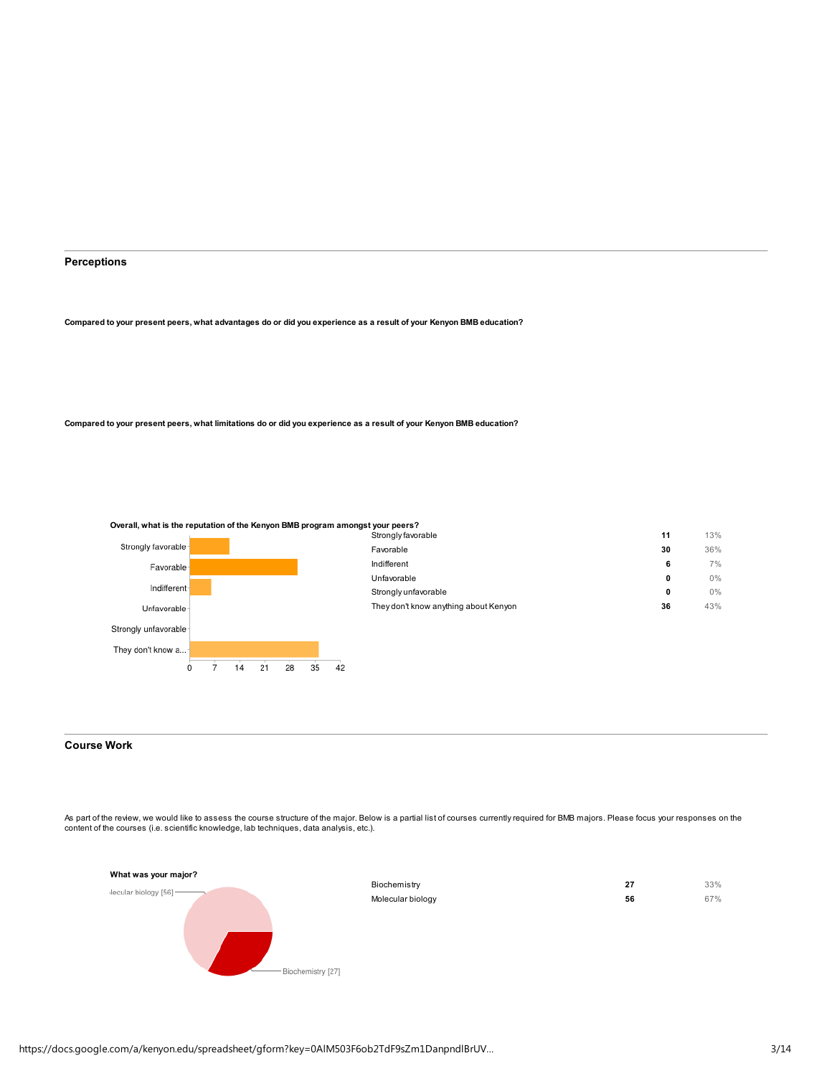## Perceptions

Compared to your present peers, what advantages do or did you experience as a result of your Kenyon BMB education?

Compared to your present peers, what limitations do or did you experience as a result of your Kenyon BMB education?



# Course Work

As part of the review, we would like to assess the course structure of the major. Below is a partial list of courses currently required for BMB majors. Please focus your responses on the content of the courses (i.e. scientific knowledge, lab techniques, data analysis, etc.).

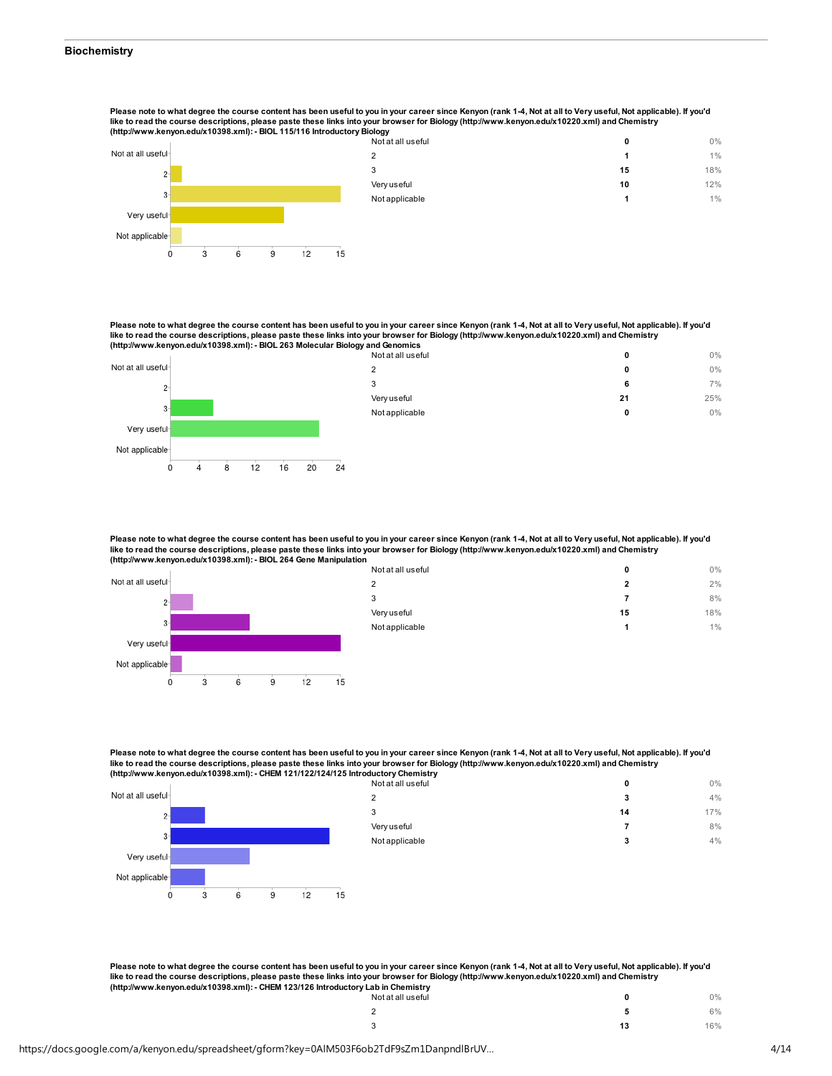Please note to what degree the course content has been useful to you in your career since Kenyon (rank 1-4, Not at all to Very useful, Not applicable). If you'd like to read the course descriptions, please paste these links into your browser for Biology (http://www.kenyon.edu/x10220.xml) and Chemistry (http://www.kenyon.edu/x10398.xml): - BIOL 115/116 Introductory Biology





Please note to what degree the course content has been useful to you in your career since Kenyon (rank 1-4, Not at all to Very useful, Not applicable). If you'd like to read the course descriptions, please paste these links into your browser for Biology (http://www.kenyon.edu/x10220.xml) and Chemistry (http://www.kenyon.edu/x10398.xml): - BIOL 263 Molecular Biology and Genomics

|                    |    |    |    | $\cdot$ | .<br>Not at all useful | 0  | $0\%$ |
|--------------------|----|----|----|---------|------------------------|----|-------|
| Not at all useful- |    |    |    |         | っ                      | 0  | $0\%$ |
| $2 -$              |    |    |    |         | 3                      | 6  | $7\%$ |
|                    |    |    |    |         | Very useful            | 21 | 25%   |
| $3 -$              |    |    |    |         | Not applicable         | 0  | $0\%$ |
| Very useful-       |    |    |    |         |                        |    |       |
| Not applicable     |    |    |    |         |                        |    |       |
|                    | 12 | 16 | 20 | 24      |                        |    |       |

Please note to what degree the course content has been useful to you in your career since Kenyon (rank 1-4, Not at all to Very useful, Not applicable). If you'd like to read the course descriptions, please paste these links into your browser for Biology (http://www.kenyon.edu/x10220.xml) and Chemistry (http://www.kenyon.edu/x10398.xml): - BIOL 264 Gene Manipulation



N<sub>i</sub>

| Not at all useful | 0  | 0%  |
|-------------------|----|-----|
| 2                 | 2  | 2%  |
| 3                 | 7  | 8%  |
| Very useful       | 15 | 18% |
| Not applicable    | 1  | 1%  |
|                   |    |     |

Please note to what degree the course content has been useful to you in your career since Kenyon (rank 1-4, Not at all to Very useful, Not applicable). If you'd like to read the course descriptions, please paste these links into your browser for Biology (http://www.kenyon.edu/x10220.xml) and Chemistry (http://www.kenyon.edu/x10398.xml): - CHEM 121/122/124/125 Introductory Chemistry

|                    | . . | . . |    |    | . .<br>Not at all useful | 0  | $0\%$ |
|--------------------|-----|-----|----|----|--------------------------|----|-------|
| Vot at all useful- |     |     |    |    | っ                        |    | 4%    |
| 2 <sup>1</sup>     |     |     |    |    |                          | 14 | 17%   |
|                    |     |     |    |    | Very useful              |    | 8%    |
| 3 <sup>1</sup>     |     |     |    |    | Not applicable           |    | 4%    |
| Very useful-       |     |     |    |    |                          |    |       |
| Not applicable     |     |     |    |    |                          |    |       |
|                    |     |     | 12 | 15 |                          |    |       |

Please note to what degree the course content has been useful to you in your career since Kenyon (rank 1-4, Not at all to Very useful, Not applicable). If you'd like to read the course descriptions, please paste these links into your browser for Biology (http://www.kenyon.edu/x10220.xml) and Chemistry<br>(http://www.kenyon.edu/x10398.xml): - CHEM 123/126 Introductory Lab in Chemistry

| . .<br>.<br>Not at all useful | o  | $0\%$ |
|-------------------------------|----|-------|
| $\sim$                        |    | 6%    |
| $\mathbf{r}$<br>u             | 13 | 16%   |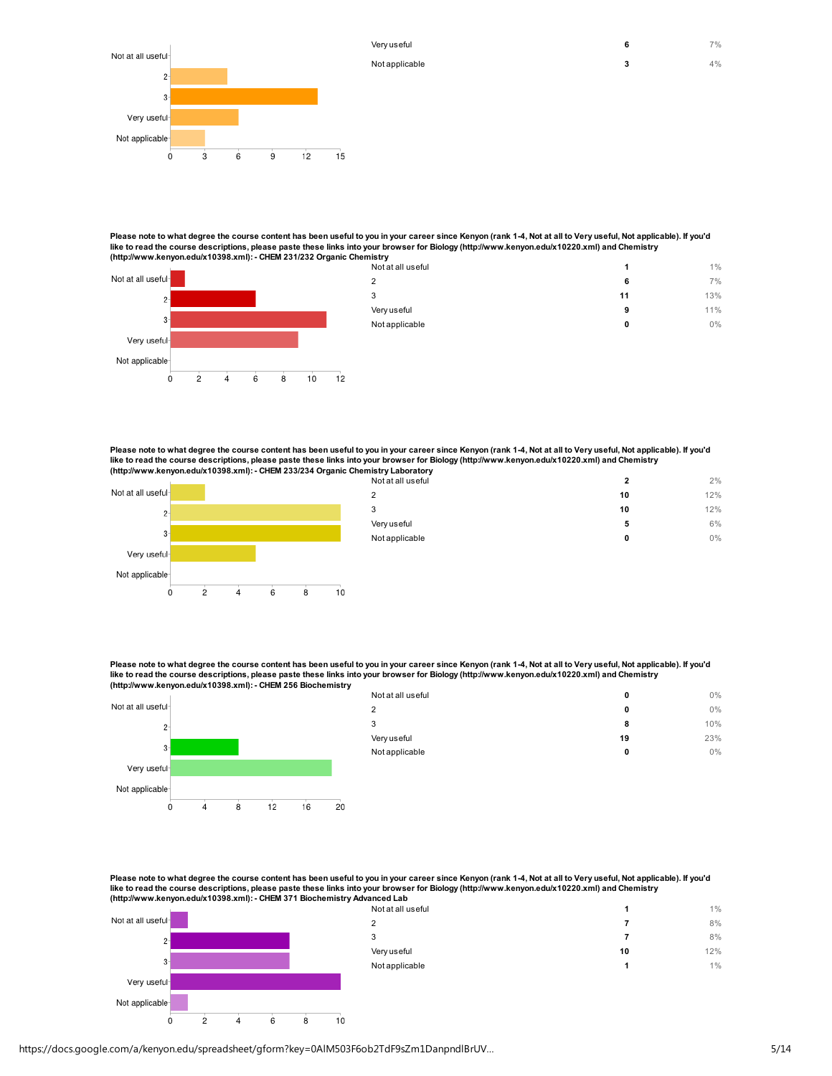

Please note to what degree the course content has been useful to you in your career since Kenyon (rank 1-4, Not at all to Very useful, Not applicable). If you'd like to read the course descriptions, please paste these links into your browser for Biology (http://www.kenyon.edu/x10220.xml) and Chemistry<br>(http://www.kenyon.edu/x10398.xml): - CHEM 231/232 Organic Chemistry

|                    | The paint of the manufacturer is a contract of the contract of gaing one instruct |    |       |
|--------------------|-----------------------------------------------------------------------------------|----|-------|
|                    | Not at all useful                                                                 |    | $1\%$ |
| Not at all useful- |                                                                                   | o  | 7%    |
| $2-$               |                                                                                   | 11 | 13%   |
|                    | Very useful                                                                       | э  | 11%   |
| $3 -$              | Not applicable                                                                    | 0  | $0\%$ |
| Very useful-       |                                                                                   |    |       |
|                    |                                                                                   |    |       |

Please note to what degree the course content has been useful to you in your career since Kenyon (rank 1-4, Not at all to Very useful, Not applicable). If you'd<br>like to read the course descriptions, please paste these lin



Not applicable

 $\dot{o}$ 

 $\overline{2}$ 

 $\overline{4}$ 

6

8

 $10$ 

 $12$ 

| 10 | 12% |
|----|-----|
|    |     |
| 10 | 12% |
| 5  | 6%  |
| 0  | 0%  |
|    |     |

Very useful  $7\%$ Not applicable 4%

Please note to what degree the course content has been useful to you in your career since Kenyon (rank 1-4, Not at all to Very useful, Not applicable). If you'd like to read the course descriptions, please paste these links into your browser for Biology (http://www.kenyon.edu/x10220.xml) and Chemistry (http://www.kenyon.edu/x10398.xml): - CHEM 256 Biochemistry



| Not at all useful | 0  | $0\%$ |
|-------------------|----|-------|
| 2                 | 0  | $0\%$ |
| 3                 | 8  | 10%   |
| Very useful       | 19 | 23%   |
| Not applicable    | 0  | 0%    |
|                   |    |       |

Please note to what degree the course content has been useful to you in your career since Kenyon (rank 1-4, Not at all to Very useful, Not applicable). If you'd like to read the course descriptions, please paste these links into your browser for Biology (http://www.kenyon.edu/x10220.xml) and Chemistry (http://www.kenyon.edu/x10398.xml): - CHEM 371 Biochemistry Advanced Lab



6

8

 $10$ 

 $\overline{4}$ 

 $\dot{0}$ 

 $\overline{2}$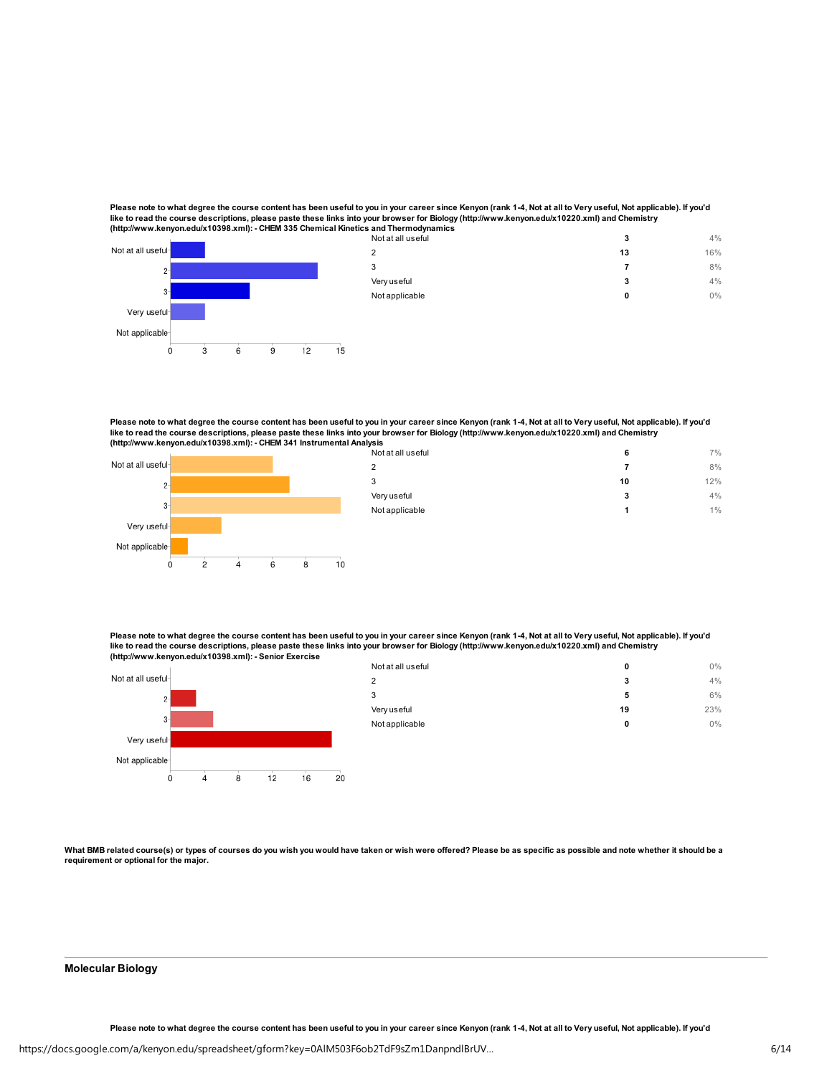Please note to what degree the course content has been useful to you in your career since Kenyon (rank 1-4, Not at all to Very useful, Not applicable). If you'd like to read the course descriptions, please paste these links into your browser for Biology (http://www.kenyon.edu/x10220.xml) and Chemistry (http://www.kenyon.edu/x10398.xml): - CHEM 335 Chemical Kinetics and Thermodynamics



Please note to what degree the course content has been useful to you in your career since Kenyon (rank 1-4, Not at all to Very useful, Not applicable). If you'd like to read the course descriptions, please paste these links into your browser for Biology (http://www.kenyon.edu/x10220.xml) and Chemistry<br>(http://www.kenyon.edu/x10398.xml): - CHEM 341 Instrumental Analysis



| liysis<br>Not at all useful | 6  | 7%  |
|-----------------------------|----|-----|
| $\overline{2}$              | 7  | 8%  |
| 3                           | 10 | 12% |
| Very useful                 | 3  | 4%  |
| Not applicable              | 1  | 1%  |
|                             |    |     |

Please note to what degree the course content has been useful to you in your career since Kenyon (rank 1-4, Not at all to Very useful, Not applicable). If you'd like to read the course descriptions, please paste these links into your browser for Biology (http://www.kenyon.edu/x10220.xml) and Chemistry (http://www.kenyon.edu/x10398.xml): - Senior Exercise



| 0%  |
|-----|
|     |
| 4%  |
| 6%  |
| 23% |
| 0%  |
|     |
|     |

What BMB related course(s) or types of courses do you wish you would have taken or wish were offered? Please be as specific as possible and note whether it should be a requirement or optional for the major.

#### Molecular Biology

Please note to what degree the course content has been useful to you in your career since Kenyon (rank 1-4, Not at all to Very useful, Not applicable). If you'd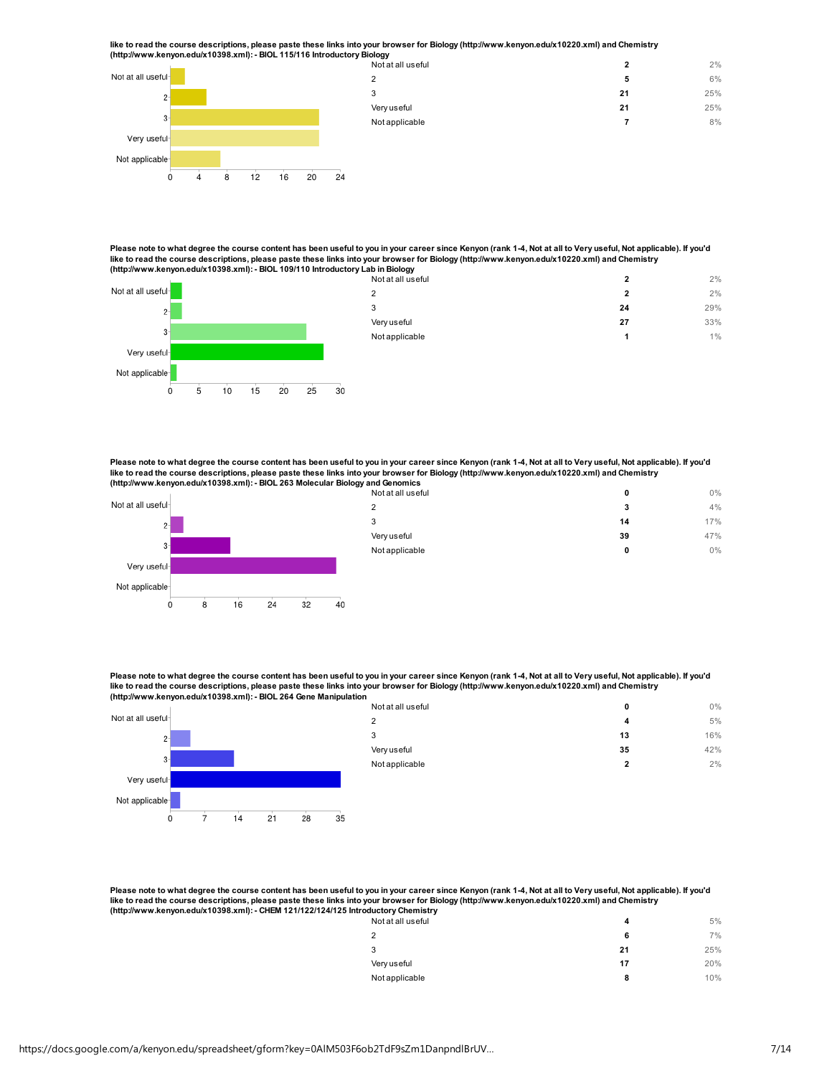like to read the course descriptions, please paste these links into your browser for Biology (http://www.kenyon.edu/x10220.xml) and Chemistry<br>(http://www.kenyon.edu/x10398.xml): - BIOL 115/116 Introductory Biology



Not at all useful 2 2%  $2$  6% 3 21  $25\%$ Very useful 25% Not applicable 8% 8%

Please note to what degree the course content has been useful to you in your career since Kenyon (rank 1-4, Not at all to Very useful, Not applicable). If you'd<br>Iike to read the course descriptions, please paste these lin (http://www.kenyon.edu/x10398.xml): - BIOL 109/110 Introductory Lab in Biology



Please note to what degree the course content has been useful to you in your career since Kenyon (rank 1-4, Not at all to Very useful, Not applicable). If you'd like to read the course descriptions, please paste these links into your browser for Biology (http://www.kenyon.edu/x10220.xml) and Chemistry (http://www.kenyon.edu/x10398.xml): - BIOL 263 Molecular Biology and



Ċ

5

 $10$ 

 $15$ 

20

25

30

| na Genomics       |    |       |
|-------------------|----|-------|
| Not at all useful | 0  | $0\%$ |
| $\overline{2}$    | 3  | 4%    |
| 3                 | 14 | 17%   |
| Very useful       | 39 | 47%   |
| Not applicable    | 0  | 0%    |
|                   |    |       |

Please note to what degree the course content has been useful to you in your career since Kenyon (rank 1-4, Not at all to Very useful, Not applicable). If you'd like to read the course descriptions, please paste these links into your browser for Biology (http://www.kenyon.edu/x10220.xml) and Chemistry (http://www.kenyon.edu/x10398.xml): - BIOL 264 Gene Manipulation

| . .<br>. .         | . .<br>. . | Not at all useful | 0       | $0\%$ |
|--------------------|------------|-------------------|---------|-------|
| Not at all useful- |            | ົ                 | 4       | 5%    |
| $2-$               |            | 3                 | 13      | 16%   |
|                    |            | Very useful       | 35      | 42%   |
| $3 -$              |            | Not applicable    | ໍາ<br>z | 2%    |
| Very useful-       |            |                   |         |       |
| Not applicable-    |            |                   |         |       |

a a  $\overline{0}$  $\frac{1}{7}$  $14$  $35$  $21$ 28

Please note to what degree the course content has been useful to you in your career since Kenyon (rank 1-4, Not at all to Very useful, Not applicable). If you'd like to read the course descriptions, please paste these links into your browser for Biology (http://www.kenyon.edu/x10220.xml) and Chemistry (http://www.kenyon.edu/x10398.xml): - CHEM 121/122/124/125 Introductory Chemist

| ruuctor y chemistry<br>Not at all useful | 4  | 5%  |
|------------------------------------------|----|-----|
| $\overline{2}$                           | 6  | 7%  |
| 3                                        | 21 | 25% |
| Very useful                              | 17 | 20% |
| Not applicable                           | 8  | 10% |
|                                          |    |     |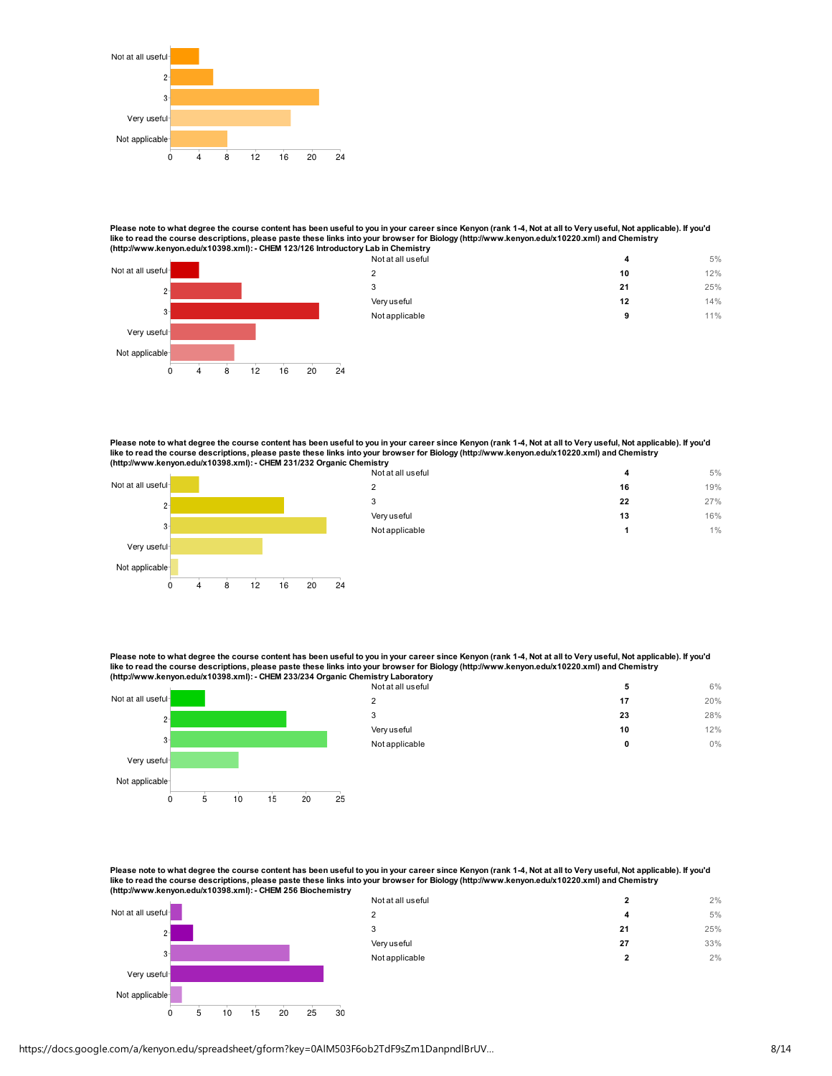

Please note to what degree the course content has been useful to you in your career since Kenyon (rank 1-4, Not at all to Very useful, Not applicable). If you'd<br>like to read the course descriptions, please paste these lin



| 12% |
|-----|
|     |
| 25% |
| 14% |
| 11% |
|     |

Please note to what degree the course content has been useful to you in your career since Kenyon (rank 1-4, Not at all to Very useful, Not applicable). If you'd like to read the course descriptions, please paste these links into your browser for Biology (http://www.kenyon.edu/x10220.xml) and Chemistry (http://www.kenyon.edu/x10398.xml): - CHEM 231/232 Organic Chemistry



| <br>Not at all useful | 4  | 5%  |
|-----------------------|----|-----|
| $\overline{2}$        | 16 | 19% |
| 3                     | 22 | 27% |
| Very useful           | 13 | 16% |
| Not applicable        | 1  | 1%  |
|                       |    |     |

Please note to what degree the course content has been useful to you in your career since Kenyon (rank 1-4, Not at all to Very useful, Not applicable). If you'd like to read the course descriptions, please paste these links into your browser for Biology (http://www.kenyon.edu/x10220.xml) and Chemistry (http://www.kenyon.edu/x10398.xml): - CHEM 233/234 Organic Che



| $\overline{2}$ | 17 | 20% |
|----------------|----|-----|
|                |    |     |
| 3              | 23 | 28% |
| Very useful    | 10 | 12% |
| Not applicable | 0  | 0%  |

Please note to what degree the course content has been useful to you in your career since Kenyon (rank 1-4, Not at all to Very useful, Not applicable). If you'd like to read the course descriptions, please paste these links into your browser for Biology (http://www.kenyon.edu/x10220.xml) and Chemistry<br>(http://www.kenyon.edu/x10398.xml): - CHEM 256 Biochemistry



20

30

 $\circ$ 

5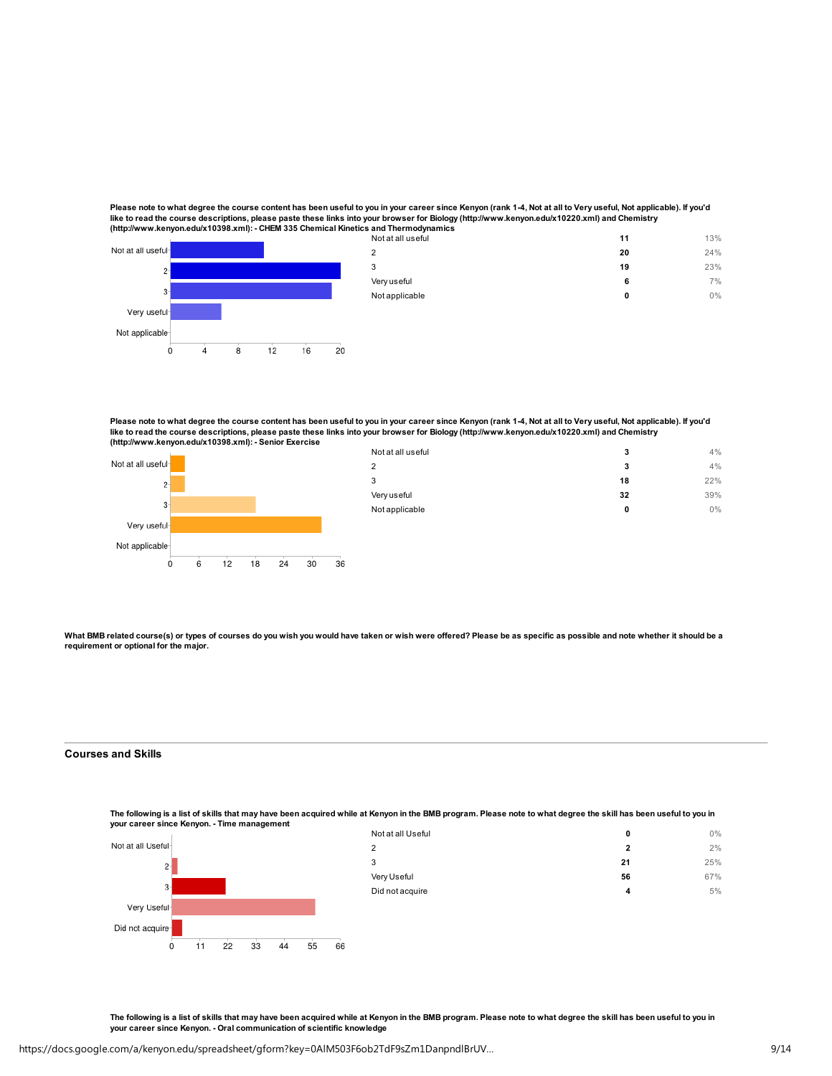Please note to what degree the course content has been useful to you in your career since Kenyon (rank 1-4, Not at all to Very useful, Not applicable). If you'd like to read the course descriptions, please paste these links into your browser for Biology (http://www.kenyon.edu/x10220.xml) and Chemistry (http://www.kenyon.edu/x10398.xml): - CHEM 335 Chemical Kine



| tics and Thermodynamics |    |     |
|-------------------------|----|-----|
| Not at all useful       | 11 | 13% |
| $\overline{2}$          | 20 | 24% |
| 3                       | 19 | 23% |
| Very useful             | 6  | 7%  |
| Not applicable          | 0  | 0%  |
|                         |    |     |
|                         |    |     |

Please note to what degree the course content has been useful to you in your career since Kenyon (rank 1-4, Not at all to Very useful, Not applicable). If you'd<br>like to read the course descriptions, please paste these lin



| Not at all useful | 3  | 4%  |
|-------------------|----|-----|
| 2                 | 3  | 4%  |
| 3                 | 18 | 22% |
| Very useful       | 32 | 39% |
| Not applicable    | 0  | 0%  |
|                   |    |     |

What BMB related course(s) or types of courses do you wish you would have taken or wish were offered? Please be as specific as possible and note whether it should be a requirement or optional for the major.

## Courses and Skills

The following is a list of skills that may have been acquired while at Kenyon in the BMB program. Please note to what degree the skill has been useful to you in your career since Kenyon. - Time management



| Not at all Useful | 0            | 0%  |
|-------------------|--------------|-----|
| 2                 | $\mathbf{2}$ | 2%  |
| 3                 | 21           | 25% |
| Very Useful       | 56           | 67% |
| Did not acquire   | 4            | 5%  |
|                   |              |     |

The following is a list of skills that may have been acquired while at Kenyon in the BMB program. Please note to what degree the skill has been useful to you in your career since Kenyon. - Oral communication of scientific knowledge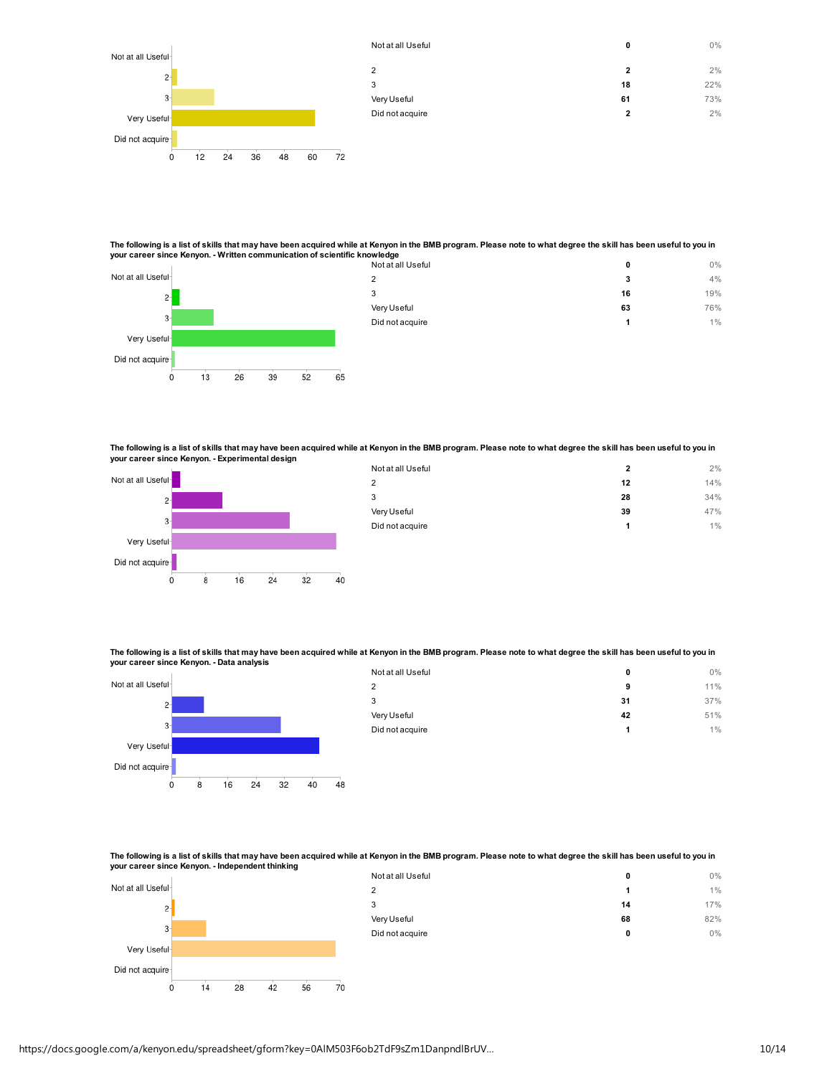

The following is a list of skills that may have been acquired while at Kenyon in the BMB program. Please note to what degree the skill has been useful to you in your career since Kenyon. - Written communication of scientific knowledge



The following is a list of skills that may have been acquired while at Kenyon in the BMB program. Please note to what degree the skill has been useful to you in your career since Kenyon. - Experimental design



 $13$ 

26

 $39$ 

 $52$ 

65

Did not acquire

Ó

| Not at all Useful | 2  | 2%  |
|-------------------|----|-----|
| 2                 | 12 | 14% |
| 3                 | 28 | 34% |
| Very Useful       | 39 | 47% |
| Did not acquire   | 1  | 1%  |
|                   |    |     |

The following is a list of skills that may have been acquired while at Kenyon in the BMB program. Please note to what degree the skill has been useful to you in your career since Kenyon. - Data analysis



| Not at all Useful | 0  | $0\%$ |
|-------------------|----|-------|
| $\overline{2}$    | 9  | 11%   |
| 3                 | 31 | 37%   |
| Very Useful       | 42 | 51%   |
| Did not acquire   | 1  | $1\%$ |

The following is a list of skills that may have been acquired while at Kenyon in the BMB program. Please note to what degree the skill has been useful to you in your career since Kenyon. - Independent thinking



| Not at all Useful | 0  | 0%  |
|-------------------|----|-----|
| $\overline{2}$    | 1  | 1%  |
| 3                 | 14 | 17% |
| Very Useful       | 68 | 82% |
| Did not acquire   | 0  | 0%  |
|                   |    |     |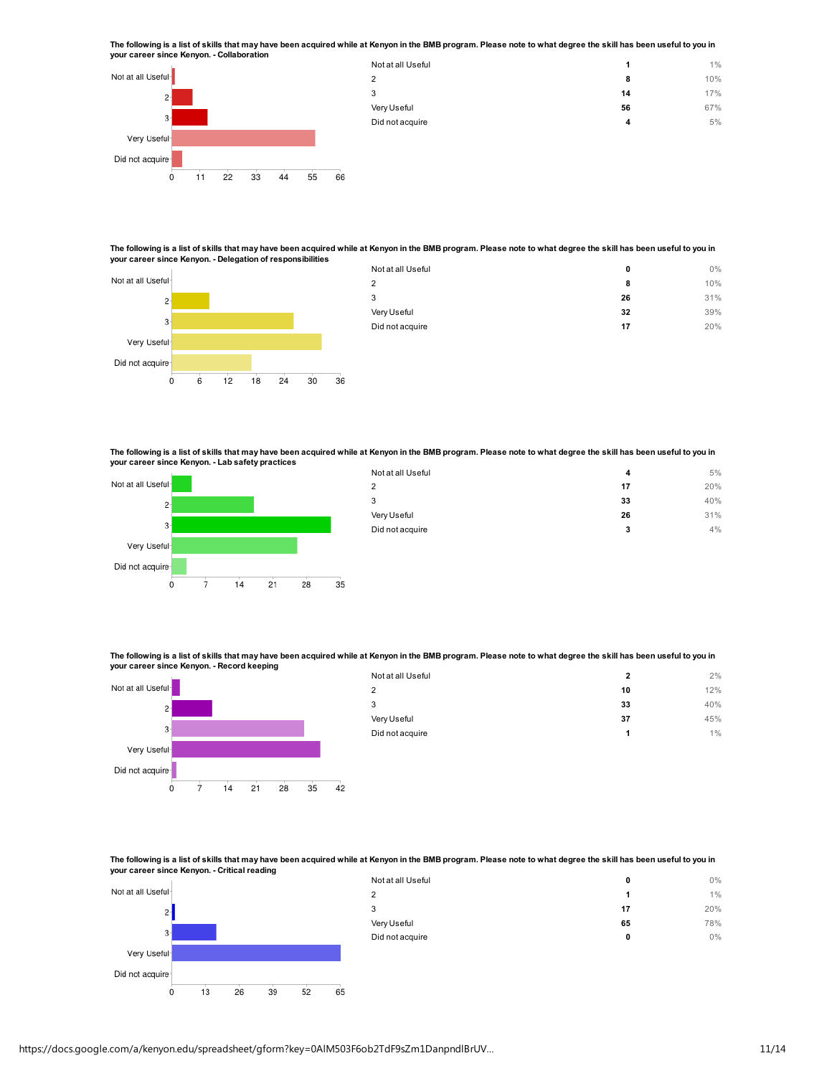The following is a list of skills that may have been acquired while at Kenyon in the BMB program. Please note to what degree the skill has been useful to you in your career since Kenyon. - Collaboration



| Not at all Useful |    | 1%  |
|-------------------|----|-----|
| $\overline{2}$    | 8  | 10% |
| 3                 | 14 | 17% |
| Very Useful       | 56 | 67% |
| Did not acquire   | 4  | 5%  |
|                   |    |     |
|                   |    |     |

The following is a list of skills that may have been acquired while at Kenyon in the BMB program. Please note to what degree the skill has been useful to you in your career since Kenyon. - Delegation of responsibilities



| Not at all Useful | 0  | 0%  |
|-------------------|----|-----|
| $\overline{2}$    | 8  | 10% |
| 3                 | 26 | 31% |
| Very Useful       | 32 | 39% |
| Did not acquire   | 17 | 20% |
|                   |    |     |

The following is a list of skills that may have been acquired while at Kenyon in the BMB program. Please note to what degree the skill has been useful to you in your career since Kenyon. - Lab safety practices



| Not at all Useful | 4  | 5%  |
|-------------------|----|-----|
| 2                 | 17 | 20% |
| 3                 | 33 | 40% |
| Very Useful       | 26 | 31% |
| Did not acquire   | 3  | 4%  |
|                   |    |     |

The following is a list of skills that may have been acquired while at Kenyon in the BMB program. Please note to what degree the skill has been useful to you in your career since Kenyon. - Record keeping



| Not at all Useful | $\mathbf{2}$ | 2%  |
|-------------------|--------------|-----|
| 2                 | 10           | 12% |
| 3                 | 33           | 40% |
| Very Useful       | 37           | 45% |
| Did not acquire   | 1            | 1%  |
|                   |              |     |

The following is a list of skills that may have been acquired while at Kenyon in the BMB program. Please note to what degree the skill has been useful to you in your career since Kenyon. - Critical reading



| https://docs.google.com/a/kenyon.edu/spreadsheet/gform?key=0AIM503F6ob2TdF9sZm1DanpndlBrUV |  |
|--------------------------------------------------------------------------------------------|--|
|                                                                                            |  |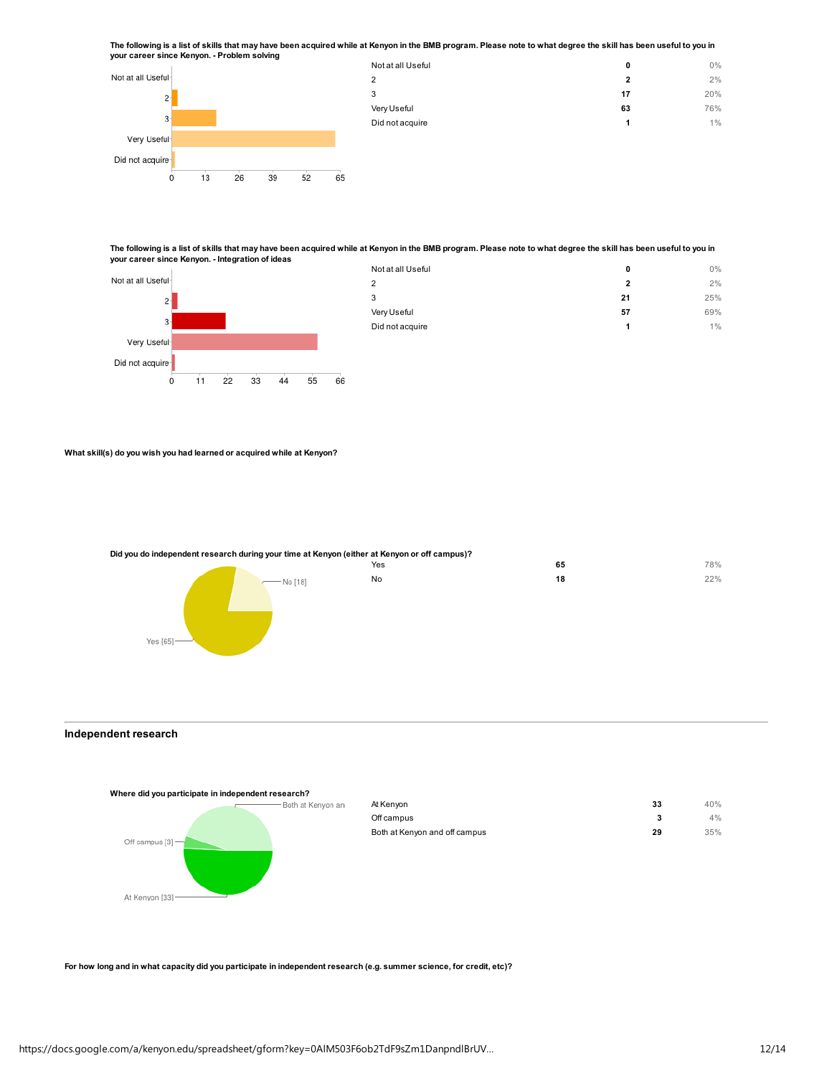The following is a list of skills that may have been acquired while at Kenyon in the BMB program. Please note to what degree the skill has been useful to you in your career since Kenyon. - Problem solving



The following is a list of skills that may have been acquired while at Kenyon in the BMB program. Please note to what degree the skill has been useful to you in your career since Kenyon. - Integration of ideas



| Not at all Useful | 0  | 0%  |
|-------------------|----|-----|
| $\overline{2}$    | 2  | 2%  |
| 3                 | 21 | 25% |
| Very Useful       | 57 | 69% |
| Did not acquire   | 1  | 1%  |
|                   |    |     |

What skill(s) do you wish you had learned or acquired while at Kenyon?

Did you do independent research during your time at Kenyon (either at Kenyon or off campus)?



## Independent research

| Where did you participate in independent research? |                   |                               |    |     |
|----------------------------------------------------|-------------------|-------------------------------|----|-----|
|                                                    | Both at Kenyon an | At Kenyon                     | 33 | 40% |
|                                                    |                   | Off campus                    | 3  | 4%  |
|                                                    |                   | Both at Kenyon and off campus | 29 | 35% |
| Off campus $[3]$ $\rightarrow$                     |                   |                               |    |     |
|                                                    |                   |                               |    |     |
|                                                    |                   |                               |    |     |
|                                                    |                   |                               |    |     |
| At Kenyon [33]-                                    |                   |                               |    |     |

For how long and in what capacity did you participate in independent research (e.g. summer science, for credit, etc)?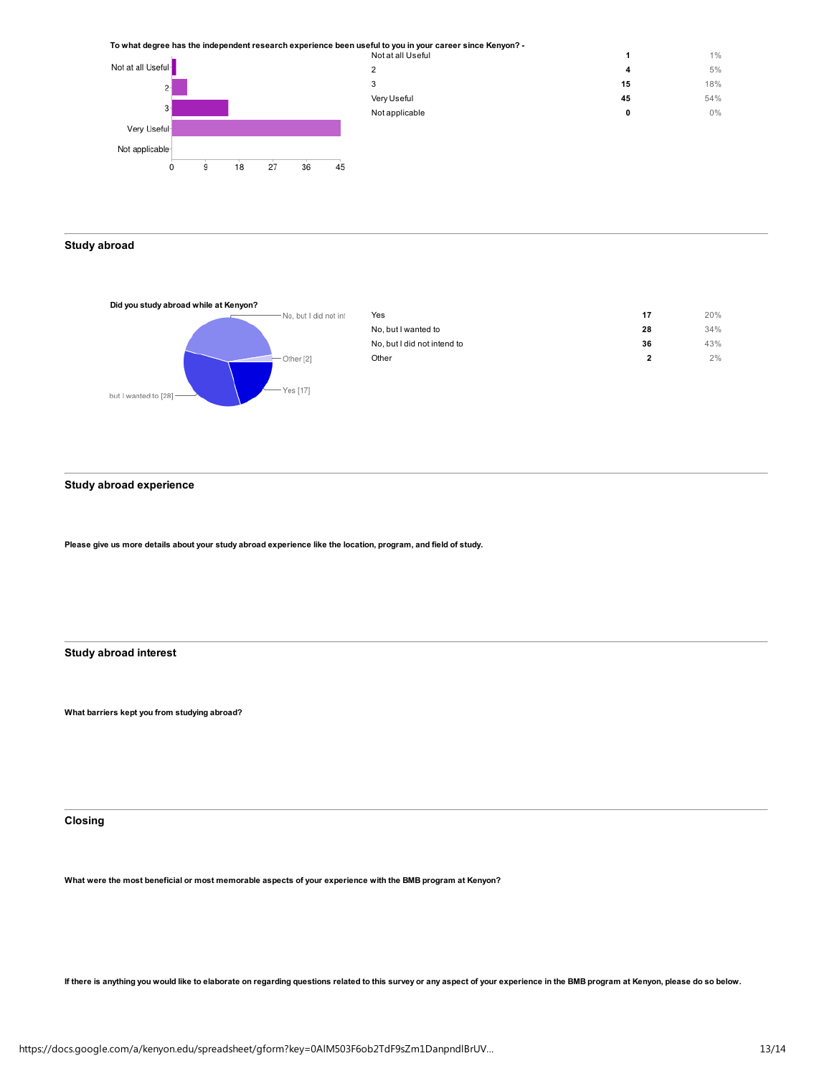To what degree has the independent research experience been useful to you in your career since Kenyon? -

| - To what degree has the independent research experience been useful to you in your career since Kenyon . |                   |    |       |
|-----------------------------------------------------------------------------------------------------------|-------------------|----|-------|
|                                                                                                           | Not at all Useful |    | $1\%$ |
| Not at all Useful-                                                                                        |                   | 4  | 5%    |
| $2-$                                                                                                      |                   | 15 | 18%   |
|                                                                                                           | Very Useful       | 45 | 54%   |
| 3                                                                                                         | Not applicable    | 0  | $0\%$ |
| Very Useful-                                                                                              |                   |    |       |
| Not applicable                                                                                            |                   |    |       |

Study abroad



 $\overset{\shortmid }{9}$ 

 $\overline{0}$ 

 $18$ 

 $27$ 

 $36$ 

 $45$ 

| Yes                         | 17           | 20% |
|-----------------------------|--------------|-----|
| No, but I wanted to         | 28           | 34% |
| No, but I did not intend to | 36           | 43% |
| Other                       | $\mathbf{2}$ | 2%  |
|                             |              |     |

Study abroad experience

Please give us more details about your study abroad experience like the location, program, and field of study.

Study abroad interest

What barriers kept you from studying abroad?

Closing

What were the most beneficial or most memorable aspects of your experience with the BMB program at Kenyon?

If there is anything you would like to elaborate on regarding questions related to this survey or any aspect of your experience in the BMB program at Kenyon, please do so below.